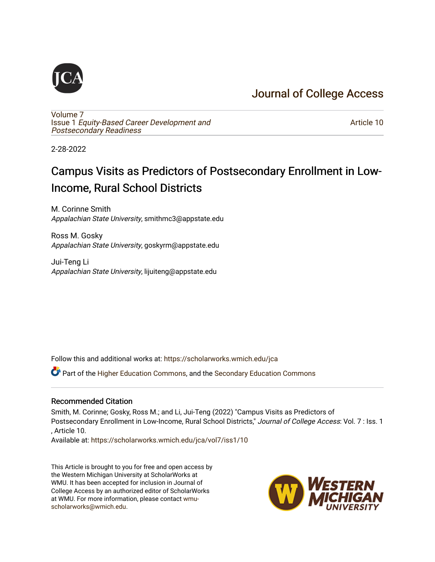## [Journal of College Access](https://scholarworks.wmich.edu/jca)

[Volume 7](https://scholarworks.wmich.edu/jca/vol7) Issue 1 [Equity-Based Career Development and](https://scholarworks.wmich.edu/jca/vol7/iss1) [Postsecondary Readiness](https://scholarworks.wmich.edu/jca/vol7/iss1) 

[Article 10](https://scholarworks.wmich.edu/jca/vol7/iss1/10) 

2-28-2022

## Campus Visits as Predictors of Postsecondary Enrollment in Low-Income, Rural School Districts

M. Corinne Smith Appalachian State University, smithmc3@appstate.edu

Ross M. Gosky Appalachian State University, goskyrm@appstate.edu

Jui-Teng Li Appalachian State University, lijuiteng@appstate.edu

Follow this and additional works at: [https://scholarworks.wmich.edu/jca](https://scholarworks.wmich.edu/jca?utm_source=scholarworks.wmich.edu%2Fjca%2Fvol7%2Fiss1%2F10&utm_medium=PDF&utm_campaign=PDFCoverPages)

Part of the [Higher Education Commons,](http://network.bepress.com/hgg/discipline/1245?utm_source=scholarworks.wmich.edu%2Fjca%2Fvol7%2Fiss1%2F10&utm_medium=PDF&utm_campaign=PDFCoverPages) and the [Secondary Education Commons](http://network.bepress.com/hgg/discipline/1382?utm_source=scholarworks.wmich.edu%2Fjca%2Fvol7%2Fiss1%2F10&utm_medium=PDF&utm_campaign=PDFCoverPages)

#### Recommended Citation

Smith, M. Corinne; Gosky, Ross M.; and Li, Jui-Teng (2022) "Campus Visits as Predictors of Postsecondary Enrollment in Low-Income, Rural School Districts," Journal of College Access: Vol. 7 : Iss. 1 , Article 10.

Available at: [https://scholarworks.wmich.edu/jca/vol7/iss1/10](https://scholarworks.wmich.edu/jca/vol7/iss1/10?utm_source=scholarworks.wmich.edu%2Fjca%2Fvol7%2Fiss1%2F10&utm_medium=PDF&utm_campaign=PDFCoverPages)

This Article is brought to you for free and open access by the Western Michigan University at ScholarWorks at WMU. It has been accepted for inclusion in Journal of College Access by an authorized editor of ScholarWorks at WMU. For more information, please contact [wmu](mailto:wmu-scholarworks@wmich.edu)[scholarworks@wmich.edu.](mailto:wmu-scholarworks@wmich.edu)

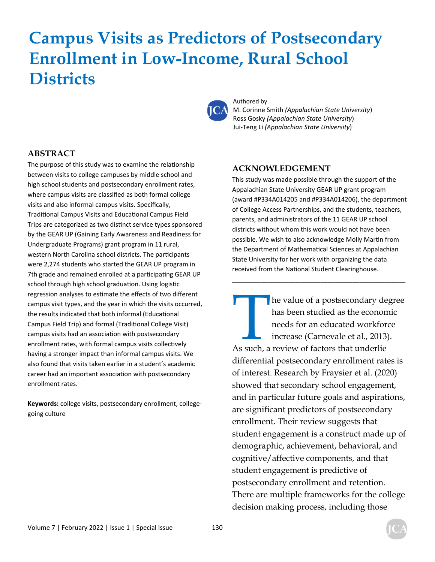# **Campus Visits as Predictors of Postsecondary Enrollment in Low-Income, Rural School Districts**



Authored by M. Corinne Smith *(Appalachian State University*) Ross Gosky *(Appalachian State University*) Jui-Teng Li *(Appalachian State University*)

#### **ABSTRACT**

The purpose of this study was to examine the relationship between visits to college campuses by middle school and high school students and postsecondary enrollment rates, where campus visits are classified as both formal college visits and also informal campus visits. Specifically, Traditional Campus Visits and Educational Campus Field Trips are categorized as two distinct service types sponsored by the GEAR UP (Gaining Early Awareness and Readiness for Undergraduate Programs) grant program in 11 rural, western North Carolina school districts. The participants were 2,274 students who started the GEAR UP program in 7th grade and remained enrolled at a participating GEAR UP school through high school graduation. Using logistic regression analyses to estimate the effects of two different campus visit types, and the year in which the visits occurred, the results indicated that both informal (Educational Campus Field Trip) and formal (Traditional College Visit) campus visits had an association with postsecondary enrollment rates, with formal campus visits collectively having a stronger impact than informal campus visits. We also found that visits taken earlier in a student's academic career had an important association with postsecondary enrollment rates.

**Keywords:** college visits, postsecondary enrollment, collegegoing culture

#### **ACKNOWLEDGEMENT**

This study was made possible through the support of the Appalachian State University GEAR UP grant program (award #P334A014205 and #P334A014206), the department of College Access Partnerships, and the students, teachers, parents, and administrators of the 11 GEAR UP school districts without whom this work would not have been possible. We wish to also acknowledge Molly Martin from the Department of Mathematical Sciences at Appalachian State University for her work with organizing the data received from the National Student Clearinghouse.

\_\_\_\_\_\_\_\_\_\_\_\_\_\_\_\_\_\_\_\_\_\_\_\_\_\_\_\_\_\_\_\_\_\_\_\_\_\_\_\_\_\_\_\_\_\_\_\_\_

he value of a postsecondary degree has been studied as the economic needs for an educated workforce increase (Carnevale et al., 2013). As such, a review of factors that underlie differential postsecondary enrollment rates is of interest. Research by Fraysier et al. (2020) showed that secondary school engagement, and in particular future goals and aspirations, are significant predictors of postsecondary enrollment. Their review suggests that student engagement is a construct made up of demographic, achievement, behavioral, and cognitive/affective components, and that student engagement is predictive of postsecondary enrollment and retention. There are multiple frameworks for the college decision making process, including those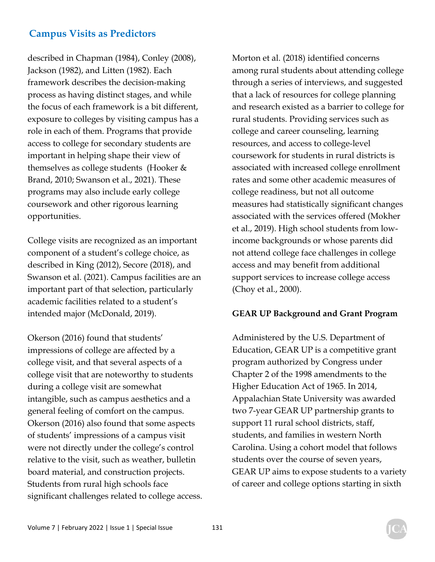described in Chapman (1984), Conley (2008), Jackson (1982), and Litten (1982). Each framework describes the decision-making process as having distinct stages, and while the focus of each framework is a bit different, exposure to colleges by visiting campus has a role in each of them. Programs that provide access to college for secondary students are important in helping shape their view of themselves as college students (Hooker & Brand, 2010; Swanson et al., 2021). These programs may also include early college coursework and other rigorous learning opportunities.

College visits are recognized as an important component of a student's college choice, as described in King (2012), Secore (2018), and Swanson et al. (2021). Campus facilities are an important part of that selection, particularly academic facilities related to a student's intended major (McDonald, 2019).

Okerson (2016) found that students' impressions of college are affected by a college visit, and that several aspects of a college visit that are noteworthy to students during a college visit are somewhat intangible, such as campus aesthetics and a general feeling of comfort on the campus. Okerson (2016) also found that some aspects of students' impressions of a campus visit were not directly under the college's control relative to the visit, such as weather, bulletin board material, and construction projects. Students from rural high schools face significant challenges related to college access. Morton et al. (2018) identified concerns among rural students about attending college through a series of interviews, and suggested that a lack of resources for college planning and research existed as a barrier to college for rural students. Providing services such as college and career counseling, learning resources, and access to college-level coursework for students in rural districts is associated with increased college enrollment rates and some other academic measures of college readiness, but not all outcome measures had statistically significant changes associated with the services offered (Mokher et al., 2019). High school students from lowincome backgrounds or whose parents did not attend college face challenges in college access and may benefit from additional support services to increase college access (Choy et al., 2000).

#### **GEAR UP Background and Grant Program**

Administered by the U.S. Department of Education, GEAR UP is a competitive grant program authorized by Congress under Chapter 2 of the 1998 amendments to the Higher Education Act of 1965. In 2014, Appalachian State University was awarded two 7-year GEAR UP partnership grants to support 11 rural school districts, staff, students, and families in western North Carolina. Using a cohort model that follows students over the course of seven years, GEAR UP aims to expose students to a variety of career and college options starting in sixth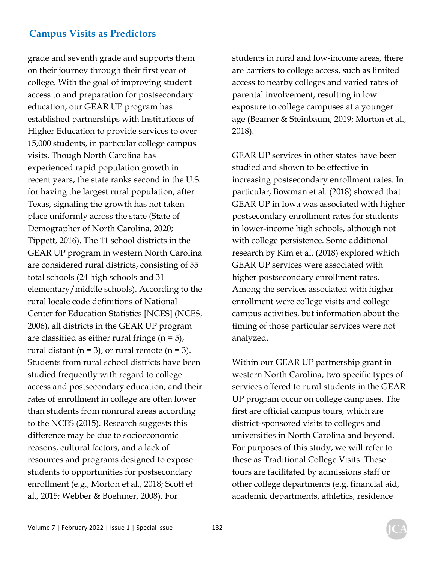grade and seventh grade and supports them on their journey through their first year of college. With the goal of improving student access to and preparation for postsecondary education, our GEAR UP program has established partnerships with Institutions of Higher Education to provide services to over 15,000 students, in particular college campus visits. Though North Carolina has experienced rapid population growth in recent years, the state ranks second in the U.S. for having the largest rural population, after Texas, signaling the growth has not taken place uniformly across the state (State of Demographer of North Carolina, 2020; Tippett, 2016). The 11 school districts in the GEAR UP program in western North Carolina are considered rural districts, consisting of 55 total schools (24 high schools and 31 elementary/middle schools). According to the rural locale code definitions of National Center for Education Statistics [NCES] (NCES, 2006), all districts in the GEAR UP program are classified as either rural fringe  $(n = 5)$ , rural distant (n = 3), or rural remote (n = 3). Students from rural school districts have been studied frequently with regard to college access and postsecondary education, and their rates of enrollment in college are often lower than students from nonrural areas according to the NCES (2015). Research suggests this difference may be due to socioeconomic reasons, cultural factors, and a lack of resources and programs designed to expose students to opportunities for postsecondary enrollment (e.g., Morton et al., 2018; Scott et al., 2015; Webber & Boehmer, 2008). For

students in rural and low-income areas, there are barriers to college access, such as limited access to nearby colleges and varied rates of parental involvement, resulting in low exposure to college campuses at a younger age (Beamer & Steinbaum, 2019; Morton et al., 2018).

GEAR UP services in other states have been studied and shown to be effective in increasing postsecondary enrollment rates. In particular, Bowman et al. (2018) showed that GEAR UP in Iowa was associated with higher postsecondary enrollment rates for students in lower-income high schools, although not with college persistence. Some additional research by Kim et al. (2018) explored which GEAR UP services were associated with higher postsecondary enrollment rates. Among the services associated with higher enrollment were college visits and college campus activities, but information about the timing of those particular services were not analyzed.

Within our GEAR UP partnership grant in western North Carolina, two specific types of services offered to rural students in the GEAR UP program occur on college campuses. The first are official campus tours, which are district-sponsored visits to colleges and universities in North Carolina and beyond. For purposes of this study, we will refer to these as Traditional College Visits. These tours are facilitated by admissions staff or other college departments (e.g. financial aid, academic departments, athletics, residence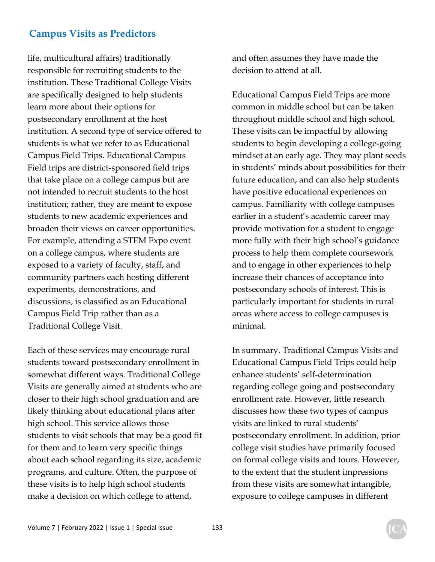life, multicultural affairs) traditionally responsible for recruiting students to the institution. These Traditional College Visits are specifically designed to help students learn more about their options for postsecondary enrollment at the host institution. A second type of service offered to students is what we refer to as Educational Campus Field Trips. Educational Campus Field trips are district-sponsored field trips that take place on a college campus but are not intended to recruit students to the host institution; rather, they are meant to expose students to new academic experiences and broaden their views on career opportunities. For example, attending a STEM Expo event on a college campus, where students are exposed to a variety of faculty, staff, and community partners each hosting different experiments, demonstrations, and discussions, is classified as an Educational Campus Field Trip rather than as a Traditional College Visit.

Each of these services may encourage rural students toward postsecondary enrollment in somewhat different ways. Traditional College Visits are generally aimed at students who are closer to their high school graduation and are likely thinking about educational plans after high school. This service allows those students to visit schools that may be a good fit for them and to learn very specific things about each school regarding its size, academic programs, and culture. Often, the purpose of these visits is to help high school students make a decision on which college to attend,

and often assumes they have made the decision to attend at all.

Educational Campus Field Trips are more common in middle school but can be taken throughout middle school and high school. These visits can be impactful by allowing students to begin developing a college-going mindset at an early age. They may plant seeds in students' minds about possibilities for their future education, and can also help students have positive educational experiences on campus. Familiarity with college campuses earlier in a student's academic career may provide motivation for a student to engage more fully with their high school's guidance process to help them complete coursework and to engage in other experiences to help increase their chances of acceptance into postsecondary schools of interest. This is particularly important for students in rural areas where access to college campuses is minimal.

In summary, Traditional Campus Visits and Educational Campus Field Trips could help enhance students' self-determination regarding college going and postsecondary enrollment rate. However, little research discusses how these two types of campus visits are linked to rural students' postsecondary enrollment. In addition, prior college visit studies have primarily focused on formal college visits and tours. However, to the extent that the student impressions from these visits are somewhat intangible, exposure to college campuses in different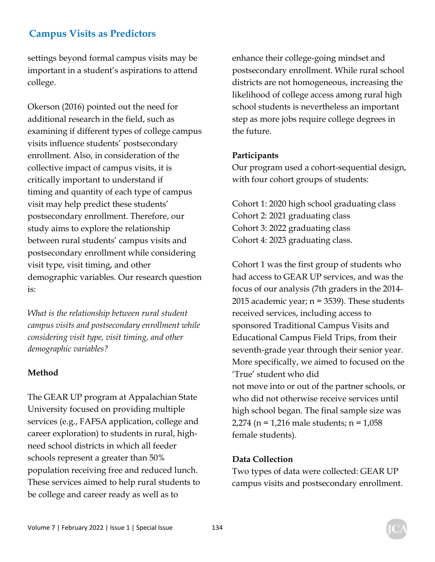settings beyond formal campus visits may be important in a student's aspirations to attend college.

Okerson (2016) pointed out the need for additional research in the field, such as examining if different types of college campus visits influence students' postsecondary enrollment. Also, in consideration of the collective impact of campus visits, it is critically important to understand if timing and quantity of each type of campus visit may help predict these students' postsecondary enrollment. Therefore, our study aims to explore the relationship between rural students' campus visits and postsecondary enrollment while considering visit type, visit timing, and other demographic variables. Our research question is:

*What is the relationship between rural student campus visits and postsecondary enrollment while considering visit type, visit timing, and other demographic variables?* 

#### **Method**

The GEAR UP program at Appalachian State University focused on providing multiple services (e.g., FAFSA application, college and career exploration) to students in rural, highneed school districts in which all feeder schools represent a greater than 50% population receiving free and reduced lunch. These services aimed to help rural students to be college and career ready as well as to

enhance their college-going mindset and postsecondary enrollment. While rural school districts are not homogeneous, increasing the likelihood of college access among rural high school students is nevertheless an important step as more jobs require college degrees in the future.

#### **Participants**

Our program used a cohort-sequential design, with four cohort groups of students:

Cohort 1: 2020 high school graduating class Cohort 2: 2021 graduating class Cohort 3: 2022 graduating class Cohort 4: 2023 graduating class.

Cohort 1 was the first group of students who had access to GEAR UP services, and was the focus of our analysis (7th graders in the 2014- 2015 academic year; n = 3539). These students received services, including access to sponsored Traditional Campus Visits and Educational Campus Field Trips, from their seventh-grade year through their senior year. More specifically, we aimed to focused on the 'True' student who did not move into or out of the partner schools, or who did not otherwise receive services until high school began. The final sample size was 2,274 (n = 1,216 male students; n = 1,058 female students).

#### **Data Collection**

Two types of data were collected: GEAR UP campus visits and postsecondary enrollment.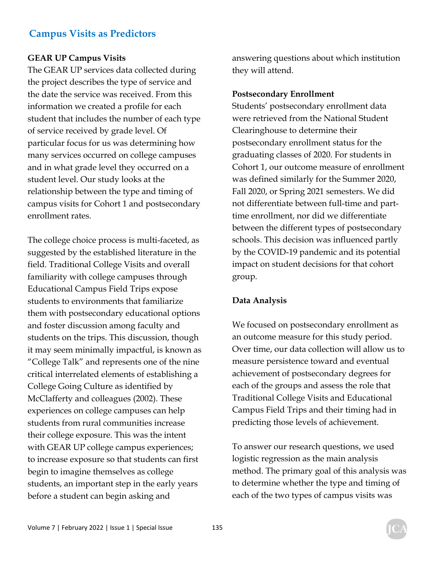#### **GEAR UP Campus Visits**

The GEAR UP services data collected during the project describes the type of service and the date the service was received. From this information we created a profile for each student that includes the number of each type of service received by grade level. Of particular focus for us was determining how many services occurred on college campuses and in what grade level they occurred on a student level. Our study looks at the relationship between the type and timing of campus visits for Cohort 1 and postsecondary enrollment rates.

The college choice process is multi-faceted, as suggested by the established literature in the field. Traditional College Visits and overall familiarity with college campuses through Educational Campus Field Trips expose students to environments that familiarize them with postsecondary educational options and foster discussion among faculty and students on the trips. This discussion, though it may seem minimally impactful, is known as "College Talk" and represents one of the nine critical interrelated elements of establishing a College Going Culture as identified by McClafferty and colleagues (2002). These experiences on college campuses can help students from rural communities increase their college exposure. This was the intent with GEAR UP college campus experiences; to increase exposure so that students can first begin to imagine themselves as college students, an important step in the early years before a student can begin asking and

answering questions about which institution they will attend.

#### **Postsecondary Enrollment**

Students' postsecondary enrollment data were retrieved from the National Student Clearinghouse to determine their postsecondary enrollment status for the graduating classes of 2020. For students in Cohort 1, our outcome measure of enrollment was defined similarly for the Summer 2020, Fall 2020, or Spring 2021 semesters. We did not differentiate between full-time and parttime enrollment, nor did we differentiate between the different types of postsecondary schools. This decision was influenced partly by the COVID-19 pandemic and its potential impact on student decisions for that cohort group.

#### **Data Analysis**

We focused on postsecondary enrollment as an outcome measure for this study period. Over time, our data collection will allow us to measure persistence toward and eventual achievement of postsecondary degrees for each of the groups and assess the role that Traditional College Visits and Educational Campus Field Trips and their timing had in predicting those levels of achievement.

To answer our research questions, we used logistic regression as the main analysis method. The primary goal of this analysis was to determine whether the type and timing of each of the two types of campus visits was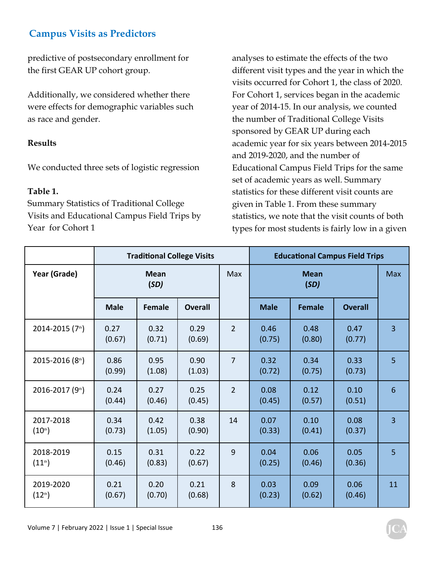predictive of postsecondary enrollment for the first GEAR UP cohort group.

Additionally, we considered whether there were effects for demographic variables such as race and gender.

#### **Results**

We conducted three sets of logistic regression

#### **Table 1.**

Summary Statistics of Traditional College Visits and Educational Campus Field Trips by Year for Cohort 1

analyses to estimate the effects of the two different visit types and the year in which the visits occurred for Cohort 1, the class of 2020. For Cohort 1, services began in the academic year of 2014-15. In our analysis, we counted the number of Traditional College Visits sponsored by GEAR UP during each academic year for six years between 2014-2015 and 2019-2020, and the number of Educational Campus Field Trips for the same set of academic years as well. Summary statistics for these different visit counts are given in Table 1. From these summary statistics, we note that the visit counts of both types for most students is fairly low in a given

|                                  | <b>Traditional College Visits</b> |                |                |                | <b>Educational Campus Field Trips</b> |                |                |            |
|----------------------------------|-----------------------------------|----------------|----------------|----------------|---------------------------------------|----------------|----------------|------------|
| Year (Grade)                     | <b>Mean</b><br>(SD)               |                |                | <b>Max</b>     | <b>Mean</b><br>(SD)                   |                |                | <b>Max</b> |
|                                  | <b>Male</b>                       | <b>Female</b>  | <b>Overall</b> |                | <b>Male</b>                           | <b>Female</b>  | <b>Overall</b> |            |
| 2014-2015 (7th)                  | 0.27<br>(0.67)                    | 0.32<br>(0.71) | 0.29<br>(0.69) | $\overline{2}$ | 0.46<br>(0.75)                        | 0.48<br>(0.80) | 0.47<br>(0.77) | 3          |
| 2015-2016 (8th)                  | 0.86<br>(0.99)                    | 0.95<br>(1.08) | 0.90<br>(1.03) | $\overline{7}$ | 0.32<br>(0.72)                        | 0.34<br>(0.75) | 0.33<br>(0.73) | 5          |
| 2016-2017 (9th)                  | 0.24<br>(0.44)                    | 0.27<br>(0.46) | 0.25<br>(0.45) | $\overline{2}$ | 0.08<br>(0.45)                        | 0.12<br>(0.57) | 0.10<br>(0.51) | 6          |
| 2017-2018<br>(10 <sup>th</sup> ) | 0.34<br>(0.73)                    | 0.42<br>(1.05) | 0.38<br>(0.90) | 14             | 0.07<br>(0.33)                        | 0.10<br>(0.41) | 0.08<br>(0.37) | 3          |
| 2018-2019<br>$(11^{th})$         | 0.15<br>(0.46)                    | 0.31<br>(0.83) | 0.22<br>(0.67) | 9              | 0.04<br>(0.25)                        | 0.06<br>(0.46) | 0.05<br>(0.36) | 5          |
| 2019-2020<br>$(12^{th})$         | 0.21<br>(0.67)                    | 0.20<br>(0.70) | 0.21<br>(0.68) | 8              | 0.03<br>(0.23)                        | 0.09<br>(0.62) | 0.06<br>(0.46) | 11         |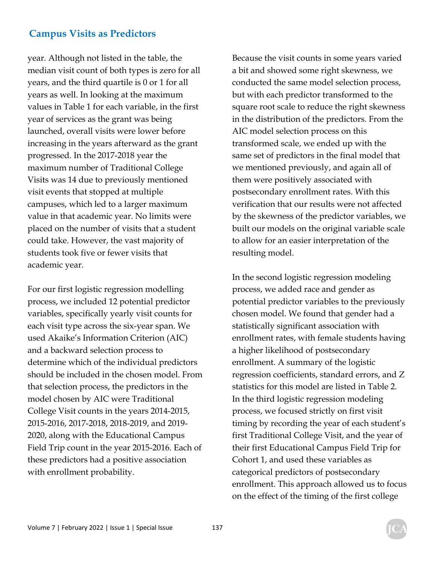year. Although not listed in the table, the median visit count of both types is zero for all years, and the third quartile is 0 or 1 for all years as well. In looking at the maximum values in Table 1 for each variable, in the first year of services as the grant was being launched, overall visits were lower before increasing in the years afterward as the grant progressed. In the 2017-2018 year the maximum number of Traditional College Visits was 14 due to previously mentioned visit events that stopped at multiple campuses, which led to a larger maximum value in that academic year. No limits were placed on the number of visits that a student could take. However, the vast majority of students took five or fewer visits that academic year.

For our first logistic regression modelling process, we included 12 potential predictor variables, specifically yearly visit counts for each visit type across the six-year span. We used Akaike's Information Criterion (AIC) and a backward selection process to determine which of the individual predictors should be included in the chosen model. From that selection process, the predictors in the model chosen by AIC were Traditional College Visit counts in the years 2014-2015, 2015-2016, 2017-2018, 2018-2019, and 2019- 2020, along with the Educational Campus Field Trip count in the year 2015-2016. Each of these predictors had a positive association with enrollment probability.

Because the visit counts in some years varied a bit and showed some right skewness, we conducted the same model selection process, but with each predictor transformed to the square root scale to reduce the right skewness in the distribution of the predictors. From the AIC model selection process on this transformed scale, we ended up with the same set of predictors in the final model that we mentioned previously, and again all of them were positively associated with postsecondary enrollment rates. With this verification that our results were not affected by the skewness of the predictor variables, we built our models on the original variable scale to allow for an easier interpretation of the resulting model.

In the second logistic regression modeling process, we added race and gender as potential predictor variables to the previously chosen model. We found that gender had a statistically significant association with enrollment rates, with female students having a higher likelihood of postsecondary enrollment. A summary of the logistic regression coefficients, standard errors, and Z statistics for this model are listed in Table 2. In the third logistic regression modeling process, we focused strictly on first visit timing by recording the year of each student's first Traditional College Visit, and the year of their first Educational Campus Field Trip for Cohort 1, and used these variables as categorical predictors of postsecondary enrollment. This approach allowed us to focus on the effect of the timing of the first college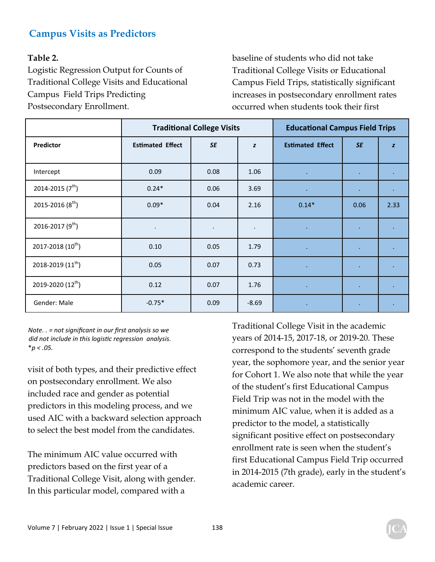#### **Table 2.**

Logistic Regression Output for Counts of Traditional College Visits and Educational Campus Field Trips Predicting Postsecondary Enrollment.

baseline of students who did not take Traditional College Visits or Educational Campus Field Trips, statistically significant increases in postsecondary enrollment rates occurred when students took their first

|                               |                         | <b>Traditional College Visits</b> | <b>Educational Campus Field Trips</b> |                         |              |           |
|-------------------------------|-------------------------|-----------------------------------|---------------------------------------|-------------------------|--------------|-----------|
| Predictor                     | <b>Estimated Effect</b> | <b>SE</b>                         | z                                     | <b>Estimated Effect</b> | <b>SE</b>    | z         |
| Intercept                     | 0.09                    | 0.08                              | 1.06                                  | $\bullet$               | ٠            |           |
| 2014-2015 $(7^{th})$          | $0.24*$                 | 0.06                              | 3.69                                  | $\bullet$ .             | $\mathbf{r}$ |           |
| 2015-2016 $(8^{th})$          | $0.09*$                 | 0.04                              | 2.16                                  | $0.14*$                 | 0.06         | 2.33      |
| 2016-2017 (9 <sup>th</sup> )  | $\bullet$               |                                   | $\bullet$                             | $\sim$                  | $\epsilon$   |           |
| 2017-2018 $(10^{th})$         | 0.10                    | 0.05                              | 1.79                                  | $\bullet$               | $\bullet$    |           |
| 2018-2019 $(11^{\text{th}})$  | 0.05                    | 0.07                              | 0.73                                  | $\sim$                  | $\bullet$    | $\bullet$ |
| 2019-2020 (12 <sup>th</sup> ) | 0.12                    | 0.07                              | 1.76                                  | $\sim$                  | ٠            |           |
| Gender: Male                  | $-0.75*$                | 0.09                              | $-8.69$                               | $\bullet$               | $\bullet$    |           |

*Note. . = not significant in our first analysis so we did not include in this logisƟc regression analysis.*  \**p < .05.*

visit of both types, and their predictive effect on postsecondary enrollment. We also included race and gender as potential predictors in this modeling process, and we used AIC with a backward selection approach to select the best model from the candidates.

The minimum AIC value occurred with predictors based on the first year of a Traditional College Visit, along with gender. In this particular model, compared with a

Traditional College Visit in the academic years of 2014-15, 2017-18, or 2019-20. These correspond to the students' seventh grade year, the sophomore year, and the senior year for Cohort 1. We also note that while the year of the student's first Educational Campus Field Trip was not in the model with the minimum AIC value, when it is added as a predictor to the model, a statistically significant positive effect on postsecondary enrollment rate is seen when the student's first Educational Campus Field Trip occurred in 2014-2015 (7th grade), early in the student's academic career.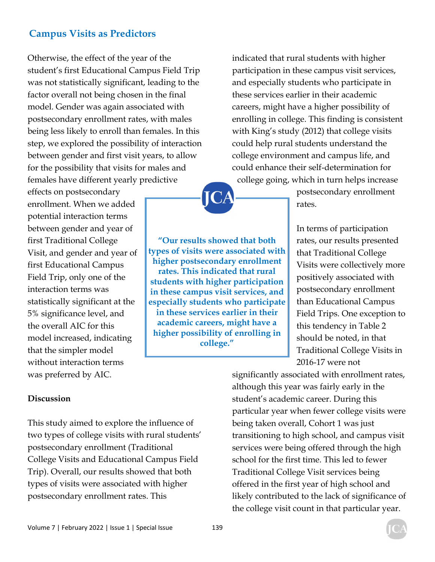Otherwise, the effect of the year of the student's first Educational Campus Field Trip was not statistically significant, leading to the factor overall not being chosen in the final model. Gender was again associated with postsecondary enrollment rates, with males being less likely to enroll than females. In this step, we explored the possibility of interaction between gender and first visit years, to allow for the possibility that visits for males and females have different yearly predictive

effects on postsecondary enrollment. When we added potential interaction terms between gender and year of first Traditional College Visit, and gender and year of first Educational Campus Field Trip, only one of the interaction terms was statistically significant at the 5% significance level, and the overall AIC for this model increased, indicating that the simpler model without interaction terms was preferred by AIC.

**"Our results showed that both types of visits were associated with higher postsecondary enrollment rates. This indicated that rural students with higher participation in these campus visit services, and especially students who participate in these services earlier in their academic careers, might have a higher possibility of enrolling in college."** 

indicated that rural students with higher participation in these campus visit services, and especially students who participate in these services earlier in their academic careers, might have a higher possibility of enrolling in college. This finding is consistent with King's study (2012) that college visits could help rural students understand the college environment and campus life, and could enhance their self-determination for college going, which in turn helps increase

> postsecondary enrollment rates.

In terms of participation rates, our results presented that Traditional College Visits were collectively more positively associated with postsecondary enrollment than Educational Campus Field Trips. One exception to this tendency in Table 2 should be noted, in that Traditional College Visits in 2016-17 were not

#### **Discussion**

This study aimed to explore the influence of two types of college visits with rural students' postsecondary enrollment (Traditional College Visits and Educational Campus Field Trip). Overall, our results showed that both types of visits were associated with higher postsecondary enrollment rates. This

significantly associated with enrollment rates, although this year was fairly early in the student's academic career. During this particular year when fewer college visits were being taken overall, Cohort 1 was just transitioning to high school, and campus visit services were being offered through the high school for the first time. This led to fewer Traditional College Visit services being offered in the first year of high school and likely contributed to the lack of significance of the college visit count in that particular year.

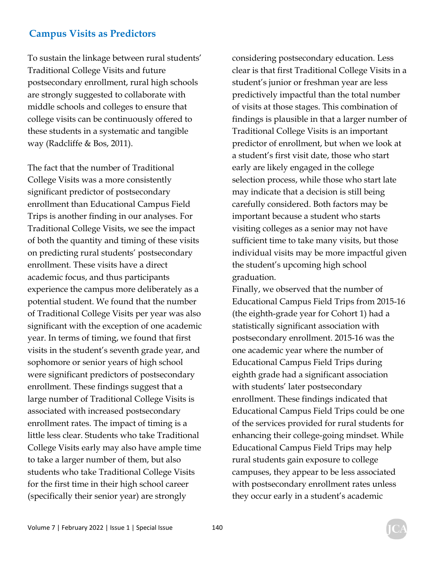To sustain the linkage between rural students' Traditional College Visits and future postsecondary enrollment, rural high schools are strongly suggested to collaborate with middle schools and colleges to ensure that college visits can be continuously offered to these students in a systematic and tangible way (Radcliffe & Bos, 2011).

The fact that the number of Traditional College Visits was a more consistently significant predictor of postsecondary enrollment than Educational Campus Field Trips is another finding in our analyses. For Traditional College Visits, we see the impact of both the quantity and timing of these visits on predicting rural students' postsecondary enrollment. These visits have a direct academic focus, and thus participants experience the campus more deliberately as a potential student. We found that the number of Traditional College Visits per year was also significant with the exception of one academic year. In terms of timing, we found that first visits in the student's seventh grade year, and sophomore or senior years of high school were significant predictors of postsecondary enrollment. These findings suggest that a large number of Traditional College Visits is associated with increased postsecondary enrollment rates. The impact of timing is a little less clear. Students who take Traditional College Visits early may also have ample time to take a larger number of them, but also students who take Traditional College Visits for the first time in their high school career (specifically their senior year) are strongly

considering postsecondary education. Less clear is that first Traditional College Visits in a student's junior or freshman year are less predictively impactful than the total number of visits at those stages. This combination of findings is plausible in that a larger number of Traditional College Visits is an important predictor of enrollment, but when we look at a student's first visit date, those who start early are likely engaged in the college selection process, while those who start late may indicate that a decision is still being carefully considered. Both factors may be important because a student who starts visiting colleges as a senior may not have sufficient time to take many visits, but those individual visits may be more impactful given the student's upcoming high school graduation.

Finally, we observed that the number of Educational Campus Field Trips from 2015-16 (the eighth-grade year for Cohort 1) had a statistically significant association with postsecondary enrollment. 2015-16 was the one academic year where the number of Educational Campus Field Trips during eighth grade had a significant association with students' later postsecondary enrollment. These findings indicated that Educational Campus Field Trips could be one of the services provided for rural students for enhancing their college-going mindset. While Educational Campus Field Trips may help rural students gain exposure to college campuses, they appear to be less associated with postsecondary enrollment rates unless they occur early in a student's academic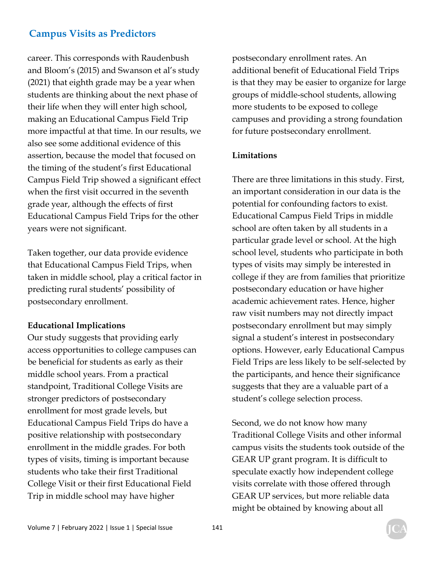career. This corresponds with Raudenbush and Bloom's (2015) and Swanson et al's study (2021) that eighth grade may be a year when students are thinking about the next phase of their life when they will enter high school, making an Educational Campus Field Trip more impactful at that time. In our results, we also see some additional evidence of this assertion, because the model that focused on the timing of the student's first Educational Campus Field Trip showed a significant effect when the first visit occurred in the seventh grade year, although the effects of first Educational Campus Field Trips for the other years were not significant.

Taken together, our data provide evidence that Educational Campus Field Trips, when taken in middle school, play a critical factor in predicting rural students' possibility of postsecondary enrollment.

#### **Educational Implications**

Our study suggests that providing early access opportunities to college campuses can be beneficial for students as early as their middle school years. From a practical standpoint, Traditional College Visits are stronger predictors of postsecondary enrollment for most grade levels, but Educational Campus Field Trips do have a positive relationship with postsecondary enrollment in the middle grades. For both types of visits, timing is important because students who take their first Traditional College Visit or their first Educational Field Trip in middle school may have higher

postsecondary enrollment rates. An additional benefit of Educational Field Trips is that they may be easier to organize for large groups of middle-school students, allowing more students to be exposed to college campuses and providing a strong foundation for future postsecondary enrollment.

#### **Limitations**

There are three limitations in this study. First, an important consideration in our data is the potential for confounding factors to exist. Educational Campus Field Trips in middle school are often taken by all students in a particular grade level or school. At the high school level, students who participate in both types of visits may simply be interested in college if they are from families that prioritize postsecondary education or have higher academic achievement rates. Hence, higher raw visit numbers may not directly impact postsecondary enrollment but may simply signal a student's interest in postsecondary options. However, early Educational Campus Field Trips are less likely to be self-selected by the participants, and hence their significance suggests that they are a valuable part of a student's college selection process.

Second, we do not know how many Traditional College Visits and other informal campus visits the students took outside of the GEAR UP grant program. It is difficult to speculate exactly how independent college visits correlate with those offered through GEAR UP services, but more reliable data might be obtained by knowing about all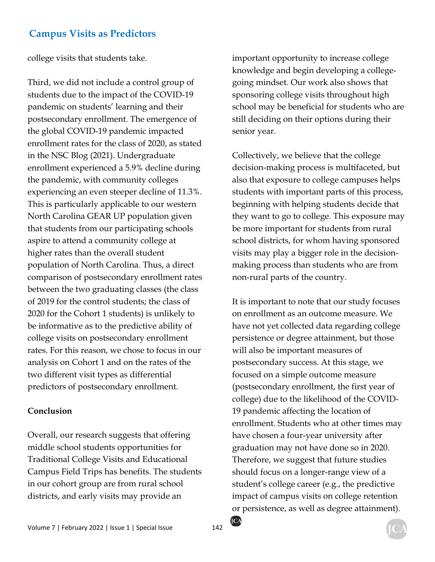college visits that students take.

Third, we did not include a control group of students due to the impact of the COVID-19 pandemic on students' learning and their postsecondary enrollment. The emergence of the global COVID-19 pandemic impacted enrollment rates for the class of 2020, as stated in the NSC Blog (2021). Undergraduate enrollment experienced a 5.9% decline during the pandemic, with community colleges experiencing an even steeper decline of 11.3%. This is particularly applicable to our western North Carolina GEAR UP population given that students from our participating schools aspire to attend a community college at higher rates than the overall student population of North Carolina. Thus, a direct comparison of postsecondary enrollment rates between the two graduating classes (the class of 2019 for the control students; the class of 2020 for the Cohort 1 students) is unlikely to be informative as to the predictive ability of college visits on postsecondary enrollment rates. For this reason, we chose to focus in our analysis on Cohort 1 and on the rates of the two different visit types as differential predictors of postsecondary enrollment.

#### **Conclusion**

Overall, our research suggests that offering middle school students opportunities for Traditional College Visits and Educational Campus Field Trips has benefits. The students in our cohort group are from rural school districts, and early visits may provide an

important opportunity to increase college knowledge and begin developing a collegegoing mindset. Our work also shows that sponsoring college visits throughout high school may be beneficial for students who are still deciding on their options during their senior year.

Collectively, we believe that the college decision-making process is multifaceted, but also that exposure to college campuses helps students with important parts of this process, beginning with helping students decide that they want to go to college. This exposure may be more important for students from rural school districts, for whom having sponsored visits may play a bigger role in the decisionmaking process than students who are from non-rural parts of the country.

It is important to note that our study focuses on enrollment as an outcome measure. We have not yet collected data regarding college persistence or degree attainment, but those will also be important measures of postsecondary success. At this stage, we focused on a simple outcome measure (postsecondary enrollment, the first year of college) due to the likelihood of the COVID-19 pandemic affecting the location of enrollment. Students who at other times may have chosen a four-year university after graduation may not have done so in 2020. Therefore, we suggest that future studies should focus on a longer-range view of a student's college career (e.g., the predictive impact of campus visits on college retention or persistence, as well as degree attainment).

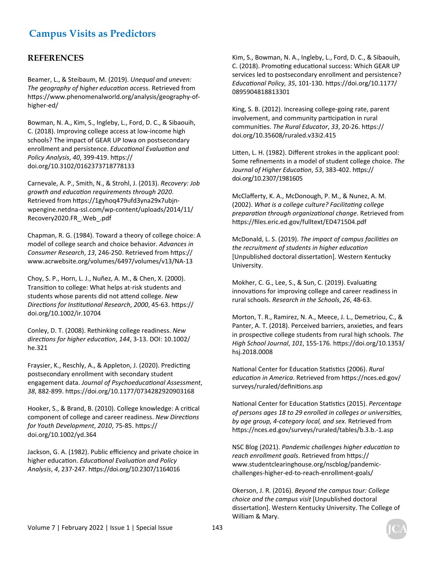#### **REFERENCES**

Beamer, L., & Steibaum, M. (2019). *Unequal and uneven: The geography of higher education access. Retrieved from* https://www.phenomenalworld.org/analysis/geography-ofhigher-ed/

Bowman, N. A., Kim, S., Ingleby, L., Ford, D. C., & Sibaouih, C. (2018). Improving college access at low-income high schools? The impact of GEAR UP Iowa on postsecondary enrollment and persistence. *EducaƟonal EvaluaƟon and Policy Analysis*, *40*, 399-419. hƩps:// doi.org/10.3102/0162373718778133

Carnevale, A. P., Smith, N., & Strohl, J. (2013). *Recovery: Job growth and educaƟon requirements through 2020*. Retrieved from https://1gyhoq479ufd3yna29x7ubjnwpengine.netdna-ssl.com/wp-content/uploads/2014/11/ Recovery2020.FR\_.Web\_.pdf

Chapman, R. G. (1984). Toward a theory of college choice: A model of college search and choice behavior. *Advances in Consumer Research*, *13*, 246-250. Retrieved from hƩps:// www.acrwebsite.org/volumes/6497/volumes/v13/NA-13

Choy, S. P., Horn, L. J., Nuñez, A. M., & Chen, X. (2000). Transition to college: What helps at-risk students and students whose parents did not attend college. New *DirecƟons for InsƟtuƟonal Research*, *2000*, 45-63. hƩps:// doi.org/10.1002/ir.10704

Conley, D. T. (2008). Rethinking college readiness. *New direcƟons for higher educaƟon*, *144*, 3-13. DOI: 10.1002/ he.321

Fraysier, K., Reschly, A., & Appleton, J. (2020). Predicting postsecondary enrollment with secondary student engagement data. *Journal of PsychoeducaƟonal Assessment*, *38*, 882-899. hƩps://doi.org/10.1177/0734282920903168

Hooker, S., & Brand, B. (2010). College knowledge: A critical component of college and career readiness. *New DirecƟons for Youth Development*, *2010*, 75-85. hƩps:// doi.org/10.1002/yd.364

Jackson, G. A. (1982). Public efficiency and private choice in higher educaƟon. *EducaƟonal EvaluaƟon and Policy Analysis*, *4*, 237-247. hƩps://doi.org/10.2307/1164016

Kim, S., Bowman, N. A., Ingleby, L., Ford, D. C., & Sibaouih, C. (2018). Promoting educational success: Which GEAR UP services led to postsecondary enrollment and persistence? *EducaƟonal Policy, 35*, 101-130. hƩps://doi.org/10.1177/ 0895904818813301

King, S. B. (2012). Increasing college-going rate, parent involvement, and community participation in rural communiƟes. *The Rural Educator*, *33*, 20-26. hƩps:// doi.org/10.35608/ruraled.v33i2.415

Litten, L. H. (1982). Different strokes in the applicant pool: Some refinements in a model of student college choice. *The Journal of Higher EducaƟon*, *53*, 383-402. hƩps:// doi.org/10.2307/1981605

McClafferty, K. A., McDonough, P. M., & Nunez, A. M. (2002). *What is a college culture? FacilitaƟng college preparaƟon through organizaƟonal change*. Retrieved from https://files.eric.ed.gov/fulltext/ED471504.pdf

McDonald, L. S. (2019). *The impact of campus facilities on the recruitment of students in higher educaƟon* [Unpublished doctoral dissertation]. Western Kentucky University.

Mokher, C. G., Lee, S., & Sun, C. (2019). Evaluating innovations for improving college and career readiness in rural schools. *Research in the Schools*, *26*, 48-63.

Morton, T. R., Ramirez, N. A., Meece, J. L., Demetriou, C., & Panter, A. T. (2018). Perceived barriers, anxieties, and fears in prospective college students from rural high schools. The *High School Journal*, *101*, 155-176. hƩps://doi.org/10.1353/ hsj.2018.0008

National Center for Education Statistics (2006). *Rural educaƟon in America*. Retrieved from hƩps://nces.ed.gov/ surveys/ruraled/definitions.asp

NaƟonal Center for EducaƟon StaƟsƟcs (2015). *Percentage of persons ages 18 to 29 enrolled in colleges or universities, by age group, 4-category local, and sex*. Retrieved from https://nces.ed.gov/surveys/ruraled/tables/b.3.b.-1.asp

NSC Blog (2021). *Pandemic challenges higher education to* reach enrollment goals. Retrieved from https:// www.studentclearinghouse.org/nscblog/pandemicchallenges-higher-ed-to-reach-enrollment-goals/

Okerson, J. R. (2016). *Beyond the campus tour: College choice and the campus visit* [Unpublished doctoral dissertation]. Western Kentucky University. The College of William & Mary.